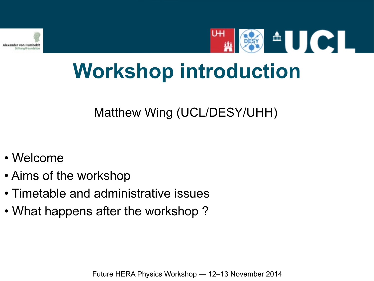

**SECTION** 

# **Workshop introduction**

Matthew Wing (UCL/DESY/UHH)

- Welcome
- Aims of the workshop
- Timetable and administrative issues
- What happens after the workshop ?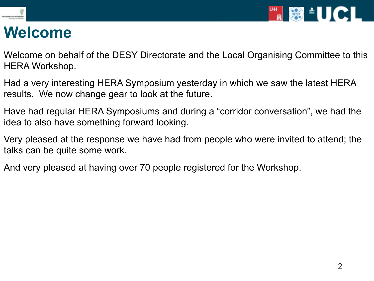



#### **Welcome**

Welcome on behalf of the DESY Directorate and the Local Organising Committee to this HERA Workshop.

Had a very interesting HERA Symposium yesterday in which we saw the latest HERA results. We now change gear to look at the future.

Have had regular HERA Symposiums and during a "corridor conversation", we had the idea to also have something forward looking.

Very pleased at the response we have had from people who were invited to attend; the talks can be quite some work.

And very pleased at having over 70 people registered for the Workshop.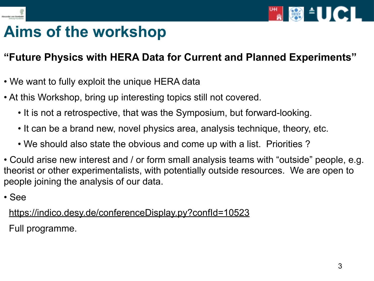



#### **Aims of the workshop**

#### **"Future Physics with HERA Data for Current and Planned Experiments"**

- We want to fully exploit the unique HERA data
- At this Workshop, bring up interesting topics still not covered.
	- It is not a retrospective, that was the Symposium, but forward-looking.
	- It can be a brand new, novel physics area, analysis technique, theory, etc.
	- We should also state the obvious and come up with a list. Priorities ?
- Could arise new interest and / or form small analysis teams with "outside" people, e.g. theorist or other experimentalists, with potentially outside resources. We are open to people joining the analysis of our data.
- See

<https://indico.desy.de/conferenceDisplay.py?confId=10523>

Full programme.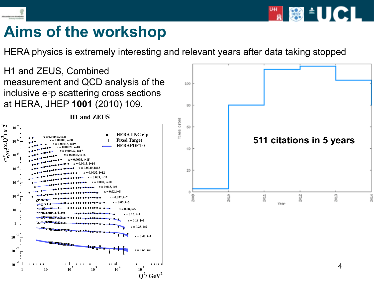

**Aims of the workshop**

HERA physics is extremely interesting and relevant years after data taking stopped

H1 and ZEUS, Combined measurement and QCD analysis of the inclusive e±p scattering cross sections at HERA, JHEP **1001** (2010) 109.





**FREE SET AND SET AND SET AND SET AND SET AND SET AND SET AND SET AND SET AND SET AND SET AND SET AN**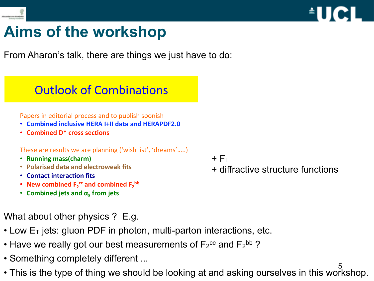



#### **Aims of the workshop**

From Aharon's talk, there are things we just have to do:

#### **Outlook of Combinations**

Papers in editorial process and to publish soonish

- Combined inclusive HERA I+II data and HERAPDF2.0
- **Combined D\* cross sections**

These are results we are planning ('wish list', 'dreams'.....)

- Running mass(charm)
- **Polarised data and electroweak fits**
- **Contact interaction fits**
- New combined  $F_2^{\text{cc}}$  and combined  $F_2^{\text{bb}}$
- **Combined jets and**  $\alpha_c$  **from jets**
- 1121123415' 67.8%-'9:;<='>?@6'A<\*BC'B8%#%-'0#8"D#"8:' E4' What about other physics ? E.g.
- Low  $E_T$  jets: gluon PDF in photon, multi-parton interactions, etc.
- Have we really got our best measurements of  $F_2^{\text{cc}}$  and  $F_2^{\text{bb}}$ ?
- Something completely different ...
- 5 • This is the type of thing we should be looking at and asking ourselves in this workshop.
- $+$  F<sub>L</sub>
- + diffractive structure functions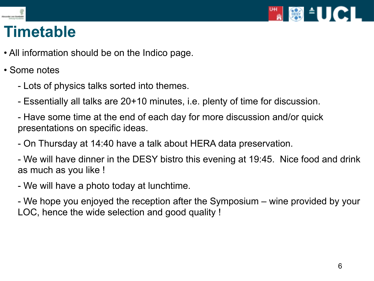

## **Timetable**

- All information should be on the Indico page.
- Some notes
	- Lots of physics talks sorted into themes.
	- Essentially all talks are 20+10 minutes, i.e. plenty of time for discussion.
	- Have some time at the end of each day for more discussion and/or quick presentations on specific ideas.
	- On Thursday at 14:40 have a talk about HERA data preservation.
	- We will have dinner in the DESY bistro this evening at 19:45. Nice food and drink as much as you like !
	- We will have a photo today at lunchtime.
	- We hope you enjoyed the reception after the Symposium wine provided by your LOC, hence the wide selection and good quality !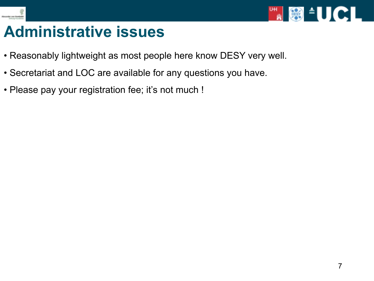



#### **Administrative issues**

- Reasonably lightweight as most people here know DESY very well.
- Secretariat and LOC are available for any questions you have.
- Please pay your registration fee; it's not much !